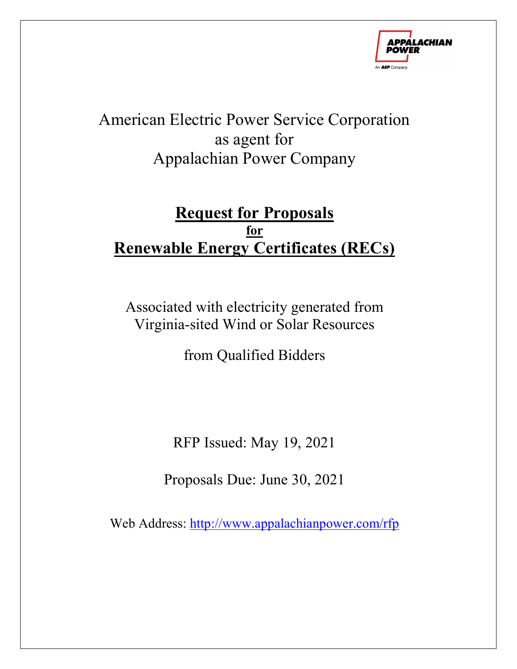

# American Electric Power Service Corporation as agent for Appalachian Power Company

## Request for Proposals for Renewable Energy Certificates (RECs)

Associated with electricity generated from Virginia-sited Wind or Solar Resources

from Qualified Bidders

RFP Issued: May 19, 2021

Proposals Due: June 30, 2021

Web Address: http://www.appalachianpower.com/rfp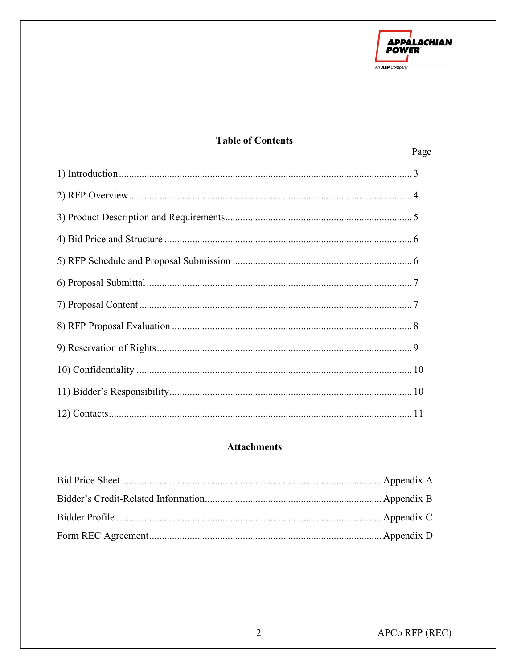

## **Table of Contents**

Page

### **Attachments**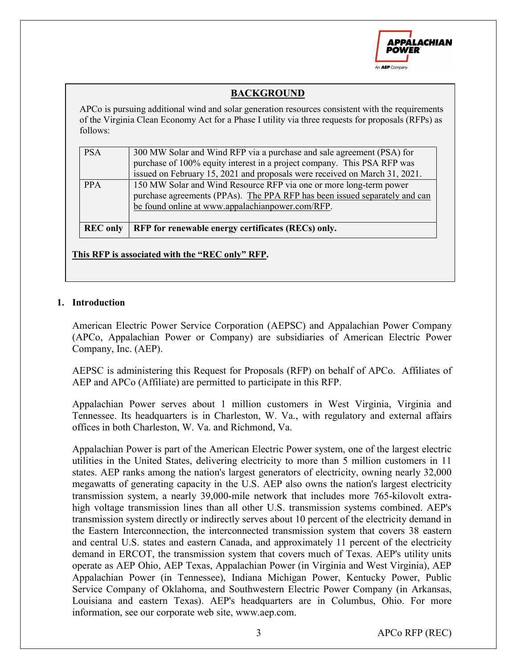

### BACKGROUND

APCo is pursuing additional wind and solar generation resources consistent with the requirements of the Virginia Clean Economy Act for a Phase I utility via three requests for proposals (RFPs) as follows:

| <b>REC</b> only | RFP for renewable energy certificates (RECs) only.                                                                                                                                                                             |
|-----------------|--------------------------------------------------------------------------------------------------------------------------------------------------------------------------------------------------------------------------------|
|                 | be found online at www.appalachianpower.com/RFP.                                                                                                                                                                               |
| <b>PPA</b>      | 150 MW Solar and Wind Resource RFP via one or more long-term power<br>purchase agreements (PPAs). The PPA RFP has been issued separately and can                                                                               |
| <b>PSA</b>      | 300 MW Solar and Wind RFP via a purchase and sale agreement (PSA) for<br>purchase of 100% equity interest in a project company. This PSA RFP was<br>issued on February 15, 2021 and proposals were received on March 31, 2021. |

#### 1. Introduction

American Electric Power Service Corporation (AEPSC) and Appalachian Power Company (APCo, Appalachian Power or Company) are subsidiaries of American Electric Power Company, Inc. (AEP).

AEPSC is administering this Request for Proposals (RFP) on behalf of APCo. Affiliates of AEP and APCo (Affiliate) are permitted to participate in this RFP.

Appalachian Power serves about 1 million customers in West Virginia, Virginia and Tennessee. Its headquarters is in Charleston, W. Va., with regulatory and external affairs offices in both Charleston, W. Va. and Richmond, Va.

Appalachian Power is part of the American Electric Power system, one of the largest electric utilities in the United States, delivering electricity to more than 5 million customers in 11 states. AEP ranks among the nation's largest generators of electricity, owning nearly 32,000 megawatts of generating capacity in the U.S. AEP also owns the nation's largest electricity transmission system, a nearly 39,000-mile network that includes more 765-kilovolt extrahigh voltage transmission lines than all other U.S. transmission systems combined. AEP's transmission system directly or indirectly serves about 10 percent of the electricity demand in the Eastern Interconnection, the interconnected transmission system that covers 38 eastern and central U.S. states and eastern Canada, and approximately 11 percent of the electricity demand in ERCOT, the transmission system that covers much of Texas. AEP's utility units operate as AEP Ohio, AEP Texas, Appalachian Power (in Virginia and West Virginia), AEP Appalachian Power (in Tennessee), Indiana Michigan Power, Kentucky Power, Public Service Company of Oklahoma, and Southwestern Electric Power Company (in Arkansas, Louisiana and eastern Texas). AEP's headquarters are in Columbus, Ohio. For more information, see our corporate web site, www.aep.com.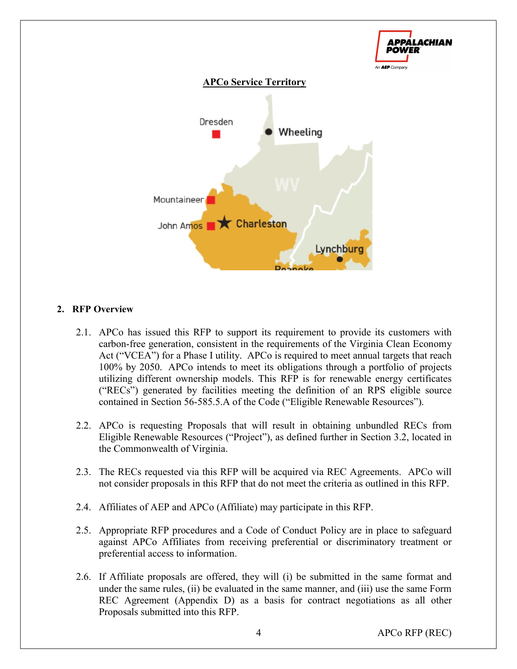

### 2. RFP Overview

- 2.1. APCo has issued this RFP to support its requirement to provide its customers with carbon-free generation, consistent in the requirements of the Virginia Clean Economy Act ("VCEA") for a Phase I utility. APCo is required to meet annual targets that reach 100% by 2050. APCo intends to meet its obligations through a portfolio of projects utilizing different ownership models. This RFP is for renewable energy certificates ("RECs") generated by facilities meeting the definition of an RPS eligible source contained in Section 56-585.5.A of the Code ("Eligible Renewable Resources").
- 2.2. APCo is requesting Proposals that will result in obtaining unbundled RECs from Eligible Renewable Resources ("Project"), as defined further in Section 3.2, located in the Commonwealth of Virginia.
- 2.3. The RECs requested via this RFP will be acquired via REC Agreements. APCo will not consider proposals in this RFP that do not meet the criteria as outlined in this RFP.
- 2.4. Affiliates of AEP and APCo (Affiliate) may participate in this RFP.
- 2.5. Appropriate RFP procedures and a Code of Conduct Policy are in place to safeguard against APCo Affiliates from receiving preferential or discriminatory treatment or preferential access to information.
- 2.6. If Affiliate proposals are offered, they will (i) be submitted in the same format and under the same rules, (ii) be evaluated in the same manner, and (iii) use the same Form REC Agreement (Appendix D) as a basis for contract negotiations as all other Proposals submitted into this RFP.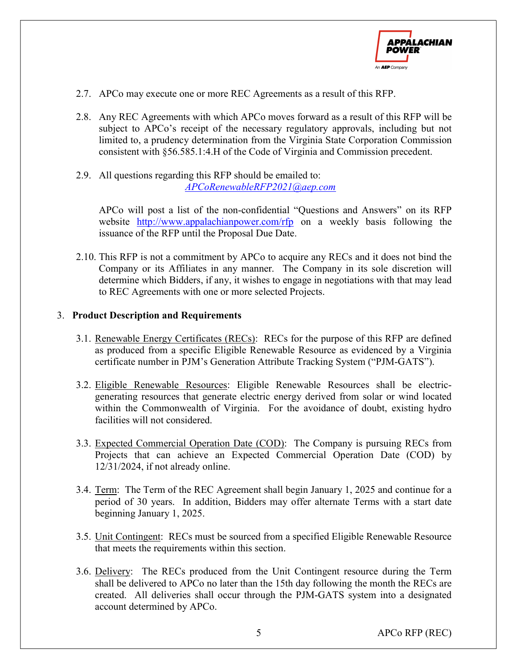

- 2.7. APCo may execute one or more REC Agreements as a result of this RFP.
- 2.8. Any REC Agreements with which APCo moves forward as a result of this RFP will be subject to APCo's receipt of the necessary regulatory approvals, including but not limited to, a prudency determination from the Virginia State Corporation Commission consistent with §56.585.1:4.H of the Code of Virginia and Commission precedent.
- 2.9. All questions regarding this RFP should be emailed to: APCoRenewableRFP2021@aep.com

APCo will post a list of the non-confidential "Questions and Answers" on its RFP website http://www.appalachianpower.com/rfp on a weekly basis following the issuance of the RFP until the Proposal Due Date.

2.10. This RFP is not a commitment by APCo to acquire any RECs and it does not bind the Company or its Affiliates in any manner. The Company in its sole discretion will determine which Bidders, if any, it wishes to engage in negotiations with that may lead to REC Agreements with one or more selected Projects.

#### 3. Product Description and Requirements

- 3.1. Renewable Energy Certificates (RECs): RECs for the purpose of this RFP are defined as produced from a specific Eligible Renewable Resource as evidenced by a Virginia certificate number in PJM's Generation Attribute Tracking System ("PJM-GATS").
- 3.2. Eligible Renewable Resources: Eligible Renewable Resources shall be electricgenerating resources that generate electric energy derived from solar or wind located within the Commonwealth of Virginia. For the avoidance of doubt, existing hydro facilities will not considered.
- 3.3. Expected Commercial Operation Date (COD): The Company is pursuing RECs from Projects that can achieve an Expected Commercial Operation Date (COD) by 12/31/2024, if not already online.
- 3.4. Term: The Term of the REC Agreement shall begin January 1, 2025 and continue for a period of 30 years. In addition, Bidders may offer alternate Terms with a start date beginning January 1, 2025.
- 3.5. Unit Contingent: RECs must be sourced from a specified Eligible Renewable Resource that meets the requirements within this section.
- 3.6. Delivery: The RECs produced from the Unit Contingent resource during the Term shall be delivered to APCo no later than the 15th day following the month the RECs are created. All deliveries shall occur through the PJM-GATS system into a designated account determined by APCo.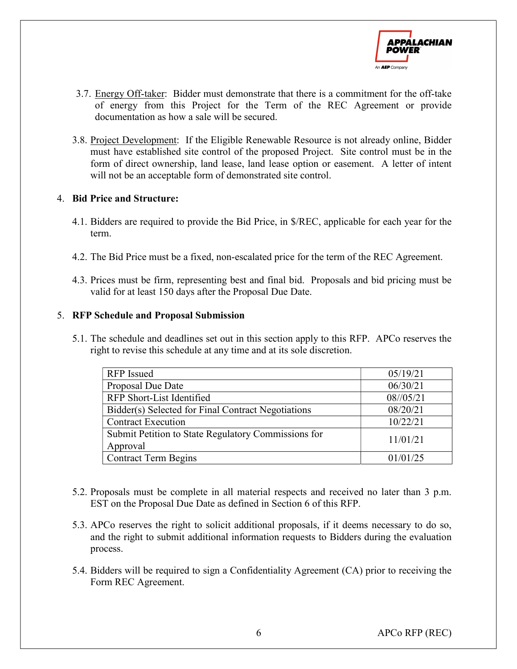

- 3.7. Energy Off-taker: Bidder must demonstrate that there is a commitment for the off-take of energy from this Project for the Term of the REC Agreement or provide documentation as how a sale will be secured.
- 3.8. Project Development: If the Eligible Renewable Resource is not already online, Bidder must have established site control of the proposed Project. Site control must be in the form of direct ownership, land lease, land lease option or easement. A letter of intent will not be an acceptable form of demonstrated site control.

#### 4. Bid Price and Structure:

- 4.1. Bidders are required to provide the Bid Price, in \$/REC, applicable for each year for the term.
- 4.2. The Bid Price must be a fixed, non-escalated price for the term of the REC Agreement.
- 4.3. Prices must be firm, representing best and final bid. Proposals and bid pricing must be valid for at least 150 days after the Proposal Due Date.

#### 5. RFP Schedule and Proposal Submission

5.1. The schedule and deadlines set out in this section apply to this RFP. APCo reserves the right to revise this schedule at any time and at its sole discretion.

| <b>RFP</b> Issued                                               | 05/19/21  |
|-----------------------------------------------------------------|-----------|
| Proposal Due Date                                               | 06/30/21  |
| RFP Short-List Identified                                       | 08//05/21 |
| Bidder(s) Selected for Final Contract Negotiations              | 08/20/21  |
| <b>Contract Execution</b>                                       | 10/22/21  |
| Submit Petition to State Regulatory Commissions for<br>Approval | 11/01/21  |
| <b>Contract Term Begins</b>                                     | 01/01/25  |

- 5.2. Proposals must be complete in all material respects and received no later than 3 p.m. EST on the Proposal Due Date as defined in Section 6 of this RFP.
- 5.3. APCo reserves the right to solicit additional proposals, if it deems necessary to do so, and the right to submit additional information requests to Bidders during the evaluation process.
- 5.4. Bidders will be required to sign a Confidentiality Agreement (CA) prior to receiving the Form REC Agreement.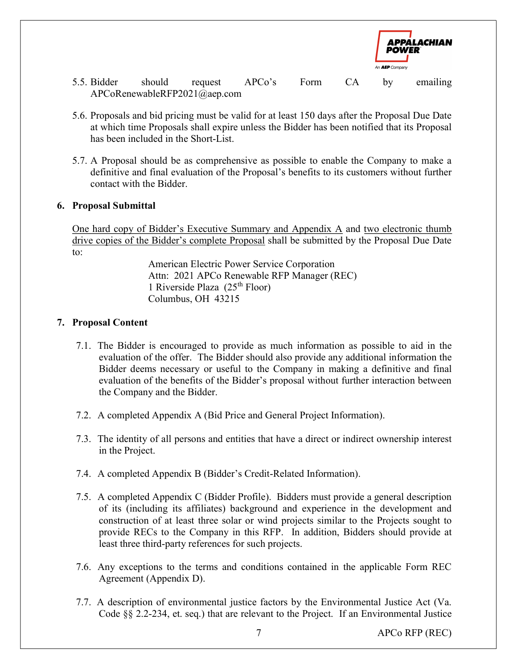

- 5.5. Bidder should request APCo's Form CA by emailing APCoRenewableRFP2021@aep.com
- 5.6. Proposals and bid pricing must be valid for at least 150 days after the Proposal Due Date at which time Proposals shall expire unless the Bidder has been notified that its Proposal has been included in the Short-List.
- 5.7. A Proposal should be as comprehensive as possible to enable the Company to make a definitive and final evaluation of the Proposal's benefits to its customers without further contact with the Bidder.

#### 6. Proposal Submittal

One hard copy of Bidder's Executive Summary and Appendix A and two electronic thumb drive copies of the Bidder's complete Proposal shall be submitted by the Proposal Due Date to:

> American Electric Power Service Corporation Attn: 2021 APCo Renewable RFP Manager (REC) 1 Riverside Plaza  $(25<sup>th</sup>$  Floor) Columbus, OH 43215

#### 7. Proposal Content

- 7.1. The Bidder is encouraged to provide as much information as possible to aid in the evaluation of the offer. The Bidder should also provide any additional information the Bidder deems necessary or useful to the Company in making a definitive and final evaluation of the benefits of the Bidder's proposal without further interaction between the Company and the Bidder.
- 7.2. A completed Appendix A (Bid Price and General Project Information).
- 7.3. The identity of all persons and entities that have a direct or indirect ownership interest in the Project.
- 7.4. A completed Appendix B (Bidder's Credit-Related Information).
- 7.5. A completed Appendix C (Bidder Profile). Bidders must provide a general description of its (including its affiliates) background and experience in the development and construction of at least three solar or wind projects similar to the Projects sought to provide RECs to the Company in this RFP. In addition, Bidders should provide at least three third-party references for such projects.
- 7.6. Any exceptions to the terms and conditions contained in the applicable Form REC Agreement (Appendix D).
- 7.7. A description of environmental justice factors by the Environmental Justice Act (Va. Code §§ 2.2-234, et. seq.) that are relevant to the Project. If an Environmental Justice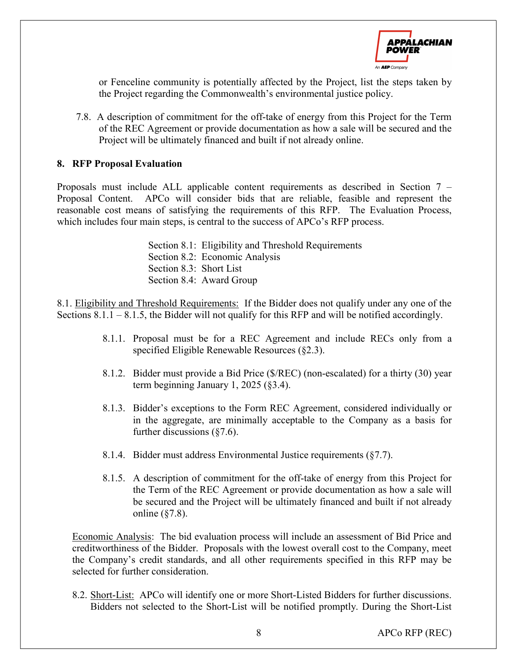

or Fenceline community is potentially affected by the Project, list the steps taken by the Project regarding the Commonwealth's environmental justice policy.

7.8. A description of commitment for the off-take of energy from this Project for the Term of the REC Agreement or provide documentation as how a sale will be secured and the Project will be ultimately financed and built if not already online.

#### 8. RFP Proposal Evaluation

Proposals must include ALL applicable content requirements as described in Section 7 – Proposal Content. APCo will consider bids that are reliable, feasible and represent the reasonable cost means of satisfying the requirements of this RFP. The Evaluation Process, which includes four main steps, is central to the success of APCo's RFP process.

> Section 8.1: Eligibility and Threshold Requirements Section 8.2: Economic Analysis Section 8.3: Short List Section 8.4: Award Group

8.1. Eligibility and Threshold Requirements: If the Bidder does not qualify under any one of the Sections 8.1.1 – 8.1.5, the Bidder will not qualify for this RFP and will be notified accordingly.

- 8.1.1. Proposal must be for a REC Agreement and include RECs only from a specified Eligible Renewable Resources (§2.3).
- 8.1.2. Bidder must provide a Bid Price (\$/REC) (non-escalated) for a thirty (30) year term beginning January 1, 2025 (§3.4).
- 8.1.3. Bidder's exceptions to the Form REC Agreement, considered individually or in the aggregate, are minimally acceptable to the Company as a basis for further discussions (§7.6).
- 8.1.4. Bidder must address Environmental Justice requirements (§7.7).
- 8.1.5. A description of commitment for the off-take of energy from this Project for the Term of the REC Agreement or provide documentation as how a sale will be secured and the Project will be ultimately financed and built if not already online (§7.8).

Economic Analysis: The bid evaluation process will include an assessment of Bid Price and creditworthiness of the Bidder. Proposals with the lowest overall cost to the Company, meet the Company's credit standards, and all other requirements specified in this RFP may be selected for further consideration.

8.2. Short-List: APCo will identify one or more Short-Listed Bidders for further discussions. Bidders not selected to the Short-List will be notified promptly. During the Short-List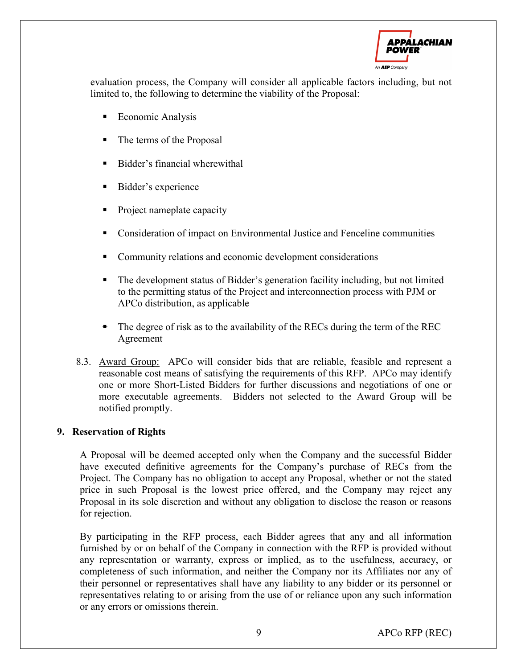

evaluation process, the Company will consider all applicable factors including, but not limited to, the following to determine the viability of the Proposal:

- Economic Analysis
- The terms of the Proposal
- Bidder's financial wherewithal
- Bidder's experience
- Project nameplate capacity
- Consideration of impact on Environmental Justice and Fenceline communities
- Community relations and economic development considerations
- The development status of Bidder's generation facility including, but not limited to the permitting status of the Project and interconnection process with PJM or APCo distribution, as applicable
- The degree of risk as to the availability of the RECs during the term of the REC Agreement
- 8.3. Award Group: APCo will consider bids that are reliable, feasible and represent a reasonable cost means of satisfying the requirements of this RFP. APCo may identify one or more Short-Listed Bidders for further discussions and negotiations of one or more executable agreements. Bidders not selected to the Award Group will be notified promptly.

#### 9. Reservation of Rights

A Proposal will be deemed accepted only when the Company and the successful Bidder have executed definitive agreements for the Company's purchase of RECs from the Project. The Company has no obligation to accept any Proposal, whether or not the stated price in such Proposal is the lowest price offered, and the Company may reject any Proposal in its sole discretion and without any obligation to disclose the reason or reasons for rejection.

By participating in the RFP process, each Bidder agrees that any and all information furnished by or on behalf of the Company in connection with the RFP is provided without any representation or warranty, express or implied, as to the usefulness, accuracy, or completeness of such information, and neither the Company nor its Affiliates nor any of their personnel or representatives shall have any liability to any bidder or its personnel or representatives relating to or arising from the use of or reliance upon any such information or any errors or omissions therein.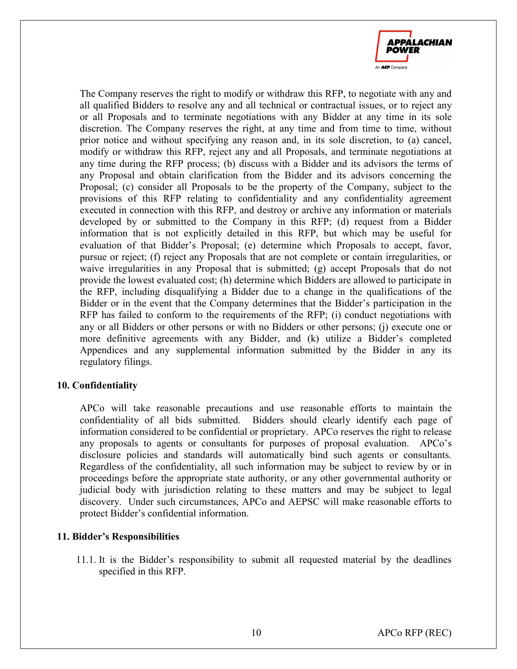

The Company reserves the right to modify or withdraw this RFP, to negotiate with any and all qualified Bidders to resolve any and all technical or contractual issues, or to reject any or all Proposals and to terminate negotiations with any Bidder at any time in its sole discretion. The Company reserves the right, at any time and from time to time, without prior notice and without specifying any reason and, in its sole discretion, to (a) cancel, modify or withdraw this RFP, reject any and all Proposals, and terminate negotiations at any time during the RFP process; (b) discuss with a Bidder and its advisors the terms of any Proposal and obtain clarification from the Bidder and its advisors concerning the Proposal; (c) consider all Proposals to be the property of the Company, subject to the provisions of this RFP relating to confidentiality and any confidentiality agreement executed in connection with this RFP, and destroy or archive any information or materials developed by or submitted to the Company in this RFP; (d) request from a Bidder information that is not explicitly detailed in this RFP, but which may be useful for evaluation of that Bidder's Proposal; (e) determine which Proposals to accept, favor, pursue or reject; (f) reject any Proposals that are not complete or contain irregularities, or waive irregularities in any Proposal that is submitted; (g) accept Proposals that do not provide the lowest evaluated cost; (h) determine which Bidders are allowed to participate in the RFP, including disqualifying a Bidder due to a change in the qualifications of the Bidder or in the event that the Company determines that the Bidder's participation in the RFP has failed to conform to the requirements of the RFP; (i) conduct negotiations with any or all Bidders or other persons or with no Bidders or other persons; (j) execute one or more definitive agreements with any Bidder, and (k) utilize a Bidder's completed Appendices and any supplemental information submitted by the Bidder in any its regulatory filings.

#### 10. Confidentiality

APCo will take reasonable precautions and use reasonable efforts to maintain the confidentiality of all bids submitted. Bidders should clearly identify each page of information considered to be confidential or proprietary. APCo reserves the right to release any proposals to agents or consultants for purposes of proposal evaluation. APCo's disclosure policies and standards will automatically bind such agents or consultants. Regardless of the confidentiality, all such information may be subject to review by or in proceedings before the appropriate state authority, or any other governmental authority or judicial body with jurisdiction relating to these matters and may be subject to legal discovery. Under such circumstances, APCo and AEPSC will make reasonable efforts to protect Bidder's confidential information.

#### 11. Bidder's Responsibilities

11.1. It is the Bidder's responsibility to submit all requested material by the deadlines specified in this RFP.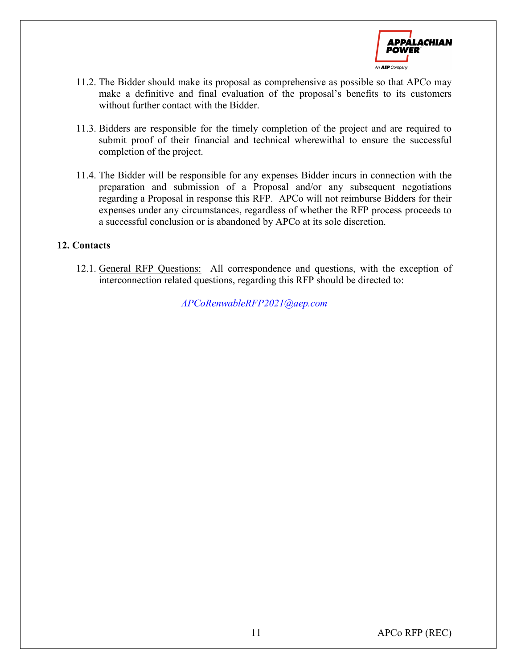

- 11.2. The Bidder should make its proposal as comprehensive as possible so that APCo may make a definitive and final evaluation of the proposal's benefits to its customers without further contact with the Bidder.
- 11.3. Bidders are responsible for the timely completion of the project and are required to submit proof of their financial and technical wherewithal to ensure the successful completion of the project.
- 11.4. The Bidder will be responsible for any expenses Bidder incurs in connection with the preparation and submission of a Proposal and/or any subsequent negotiations regarding a Proposal in response this RFP. APCo will not reimburse Bidders for their expenses under any circumstances, regardless of whether the RFP process proceeds to a successful conclusion or is abandoned by APCo at its sole discretion.

#### 12. Contacts

12.1. General RFP Questions: All correspondence and questions, with the exception of interconnection related questions, regarding this RFP should be directed to:

APCoRenwableRFP2021@aep.com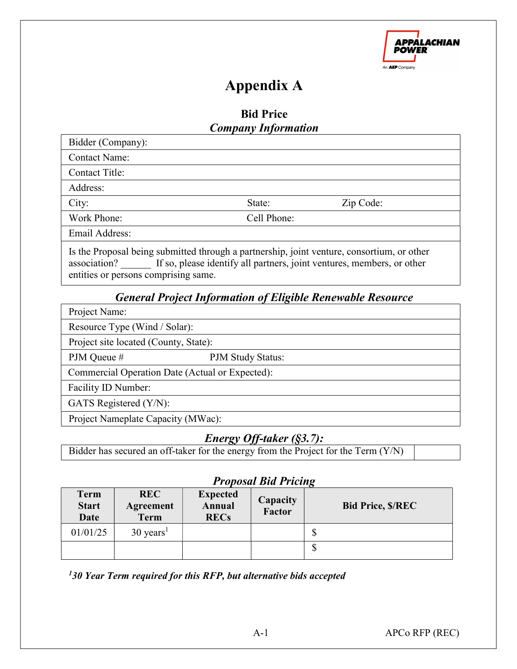

## Appendix A

Bid Price

Company Information

| Bidder (Company):                                                                                          |             |                                                                        |
|------------------------------------------------------------------------------------------------------------|-------------|------------------------------------------------------------------------|
| <b>Contact Name:</b>                                                                                       |             |                                                                        |
| <b>Contact Title:</b>                                                                                      |             |                                                                        |
| Address:                                                                                                   |             |                                                                        |
| City:                                                                                                      | State:      | Zip Code:                                                              |
| Work Phone:                                                                                                | Cell Phone: |                                                                        |
| Email Address:                                                                                             |             |                                                                        |
| Is the Proposal being submitted through a partnership, joint venture, consortium, or other<br>association? |             | If so, please identify all partners, joint ventures, members, or other |

entities or persons comprising same.

## General Project Information of Eligible Renewable Resource

Project Name:

Resource Type (Wind / Solar):

Project site located (County, State):

PJM Queue # PJM Study Status:

Commercial Operation Date (Actual or Expected):

Facility ID Number:

GATS Registered (Y/N):

Project Nameplate Capacity (MWac):

## Energy Off-taker (§3.7):

Bidder has secured an off-taker for the energy from the Project for the Term (Y/N)

## Proposal Bid Pricing

| <b>Term</b><br><b>Start</b><br>Date | <b>REC</b><br>Agreement<br><b>Term</b> | <b>Expected</b><br>Annual<br><b>RECs</b> | Capacity<br>Factor | <b>Bid Price, \$/REC</b> |
|-------------------------------------|----------------------------------------|------------------------------------------|--------------------|--------------------------|
| 01/01/25                            | $30 \text{ years}^1$                   |                                          |                    | \$                       |
|                                     |                                        |                                          |                    | \$                       |

 $130$  Year Term required for this RFP, but alternative bids accepted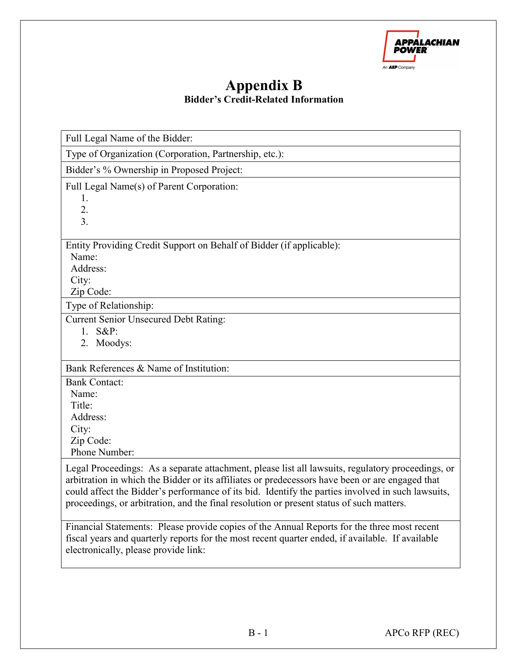

## Appendix B Bidder's Credit-Related Information

| Full Legal Name of the Bidder:                                                                                                                                                                                                                                                                                                                                                                        |
|-------------------------------------------------------------------------------------------------------------------------------------------------------------------------------------------------------------------------------------------------------------------------------------------------------------------------------------------------------------------------------------------------------|
| Type of Organization (Corporation, Partnership, etc.):                                                                                                                                                                                                                                                                                                                                                |
| Bidder's % Ownership in Proposed Project:                                                                                                                                                                                                                                                                                                                                                             |
| Full Legal Name(s) of Parent Corporation:<br>1.<br>2.<br>3.                                                                                                                                                                                                                                                                                                                                           |
| Entity Providing Credit Support on Behalf of Bidder (if applicable):                                                                                                                                                                                                                                                                                                                                  |
| Name:<br>Address:                                                                                                                                                                                                                                                                                                                                                                                     |
| City:<br>Zip Code:                                                                                                                                                                                                                                                                                                                                                                                    |
| Type of Relationship:                                                                                                                                                                                                                                                                                                                                                                                 |
| <b>Current Senior Unsecured Debt Rating:</b><br>1. $S\&P$ :<br>2. Moodys:                                                                                                                                                                                                                                                                                                                             |
| Bank References & Name of Institution:                                                                                                                                                                                                                                                                                                                                                                |
| <b>Bank Contact:</b><br>Name:<br>Title:<br>Address:<br>City:<br>Zip Code:<br>Phone Number:                                                                                                                                                                                                                                                                                                            |
| Legal Proceedings: As a separate attachment, please list all lawsuits, regulatory proceedings, or<br>arbitration in which the Bidder or its affiliates or predecessors have been or are engaged that<br>could affect the Bidder's performance of its bid. Identify the parties involved in such lawsuits,<br>proceedings, or arbitration, and the final resolution or present status of such matters. |
| Financial Statements: Please provide copies of the Annual Reports for the three most recent<br>fiscal years and quarterly reports for the most recent quarter ended, if available. If available<br>electronically, please provide link:                                                                                                                                                               |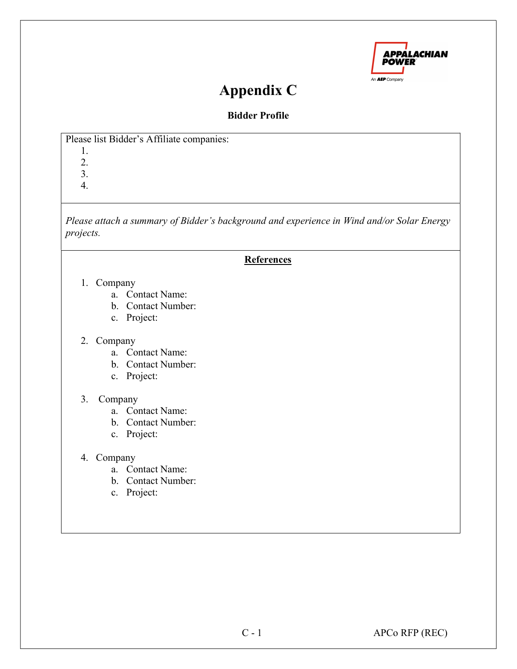

## Appendix C

### Bidder Profile

Please list Bidder's Affiliate companies:

- 1. 2.
- 3.

4.

Please attach a summary of Bidder's background and experience in Wind and/or Solar Energy projects.

#### **References**

#### 1. Company

- a. Contact Name:
- b. Contact Number:
- c. Project:

#### 2. Company

- a. Contact Name:
- b. Contact Number:
- c. Project:

#### 3. Company

- a. Contact Name:
- b. Contact Number:
- c. Project:
- 4. Company
	- a. Contact Name:
	- b. Contact Number:
	- c. Project: